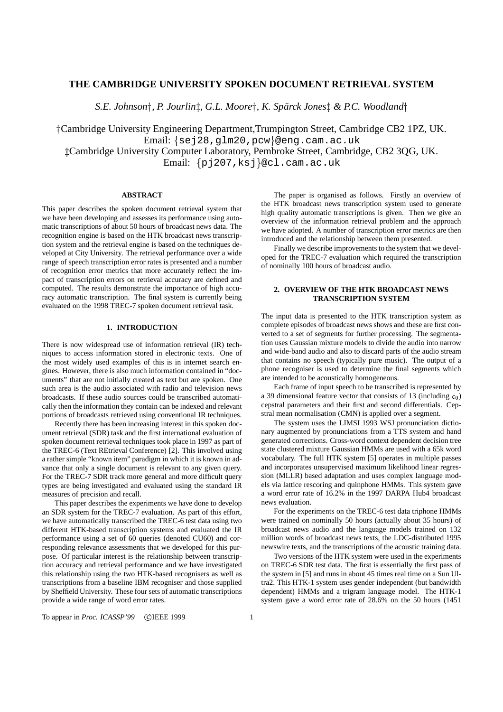# **THE CAMBRIDGE UNIVERSITY SPOKEN DOCUMENT RETRIEVAL SYSTEM**

*S.E. Johnson , P. Jourlin, G.L. Moore , K. Spar¨ ck Jones & P.C. Woodland*

 Cambridge University Engineering Department,Trumpington Street, Cambridge CB2 1PZ, UK. Email: {sej28,g1m20,pcw}@eng.cam.ac.uk Cambridge University Computer Laboratory, Pembroke Street, Cambridge, CB2 3QG, UK. Email: {pj207,ksj}@cl.cam.ac.uk

## **ABSTRACT**

This paper describes the spoken document retrieval system that we have been developing and assesses its performance using automatic transcriptions of about 50 hours of broadcast news data. The recognition engine is based on the HTK broadcast news transcription system and the retrieval engine is based on the techniques developed at City University. The retrieval performance over a wide range of speech transcription error rates is presented and a number of recognition error metrics that more accurately reflect the impact of transcription errors on retrieval accuracy are defined and computed. The results demonstrate the importance of high accuracy automatic transcription. The final system is currently being evaluated on the 1998 TREC-7 spoken document retrieval task.

## **1. INTRODUCTION**

There is now widespread use of information retrieval (IR) techniques to access information stored in electronic texts. One of the most widely used examples of this is in internet search engines. However, there is also much information contained in "documents" that are not initially created as text but are spoken. One such area is the audio associated with radio and television news broadcasts. If these audio sources could be transcribed automatically then the information they contain can be indexed and relevant portions of broadcasts retrieved using conventional IR techniques.

Recently there has been increasing interest in this spoken document retrieval (SDR) task and the first international evaluation of spoken document retrieval techniques took place in 1997 as part of the TREC-6 (Text REtrieval Conference) [2]. This involved using a rather simple "known item" paradigm in which it is known in advance that only a single document is relevant to any given query. For the TREC-7 SDR track more general and more difficult query types are being investigated and evaluated using the standard IR measures of precision and recall.

This paper describes the experiments we have done to develop an SDR system for the TREC-7 evaluation. As part of this effort, we have automatically transcribed the TREC-6 test data using two different HTK-based transcription systems and evaluated the IR performance using a set of 60 queries (denoted CU60) and corresponding relevance assessments that we developed for this purpose. Of particular interest is the relationship between transcription accuracy and retrieval performance and we have investigated this relationship using the two HTK-based recognisers as well as transcriptions from a baseline IBM recogniser and those supplied by Sheffield University. These four sets of automatic transcriptions provide a wide range of word error rates.

The paper is organised as follows. Firstly an overview of the HTK broadcast news transcription system used to generate high quality automatic transcriptions is given. Then we give an overview of the information retrieval problem and the approach we have adopted. A number of transcription error metrics are then introduced and the relationship between them presented.

Finally we describe improvements to the system that we developed for the TREC-7 evaluation which required the transcription of nominally 100 hours of broadcast audio.

## **2. OVERVIEW OF THE HTK BROADCAST NEWS TRANSCRIPTION SYSTEM**

The input data is presented to the HTK transcription system as complete episodes of broadcast news shows and these are first converted to a set of segments for further processing. The segmentation uses Gaussian mixture models to divide the audio into narrow and wide-band audio and also to discard parts of the audio stream that contains no speech (typically pure music). The output of a phone recogniser is used to determine the final segments which are intended to be acoustically homogeneous.

Each frame of input speech to be transcribed is represented by a 39 dimensional feature vector that consists of 13 (including  $c_0$ ) cepstral parameters and their first and second differentials. Cepstral mean normalisation (CMN) is applied over a segment.

The system uses the LIMSI 1993 WSJ pronunciation dictionary augmented by pronunciations from a TTS system and hand generated corrections. Cross-word context dependent decision tree state clustered mixture Gaussian HMMs are used with a 65k word vocabulary. The full HTK system [5] operates in multiple passes and incorporates unsupervised maximum likelihood linear regression (MLLR) based adaptation and uses complex language models via lattice rescoring and quinphone HMMs. This system gave a word error rate of 16.2% in the 1997 DARPA Hub4 broadcast news evaluation.

For the experiments on the TREC-6 test data triphone HMMs were trained on nominally 50 hours (actually about 35 hours) of broadcast news audio and the language models trained on 132 million words of broadcast news texts, the LDC-distributed 1995 newswire texts, and the transcriptions of the acoustic training data.

Two versions of the HTK system were used in the experiments on TREC-6 SDR test data. The first is essentially the first pass of the system in [5] and runs in about 45 times real time on a Sun Ultra2. This HTK-1 system uses gender independent (but bandwidth dependent) HMMs and a trigram language model. The HTK-1 system gave a word error rate of 28.6% on the 50 hours (1451

To appear in *Proc. ICASSP*'99 ©IEEE 1999 1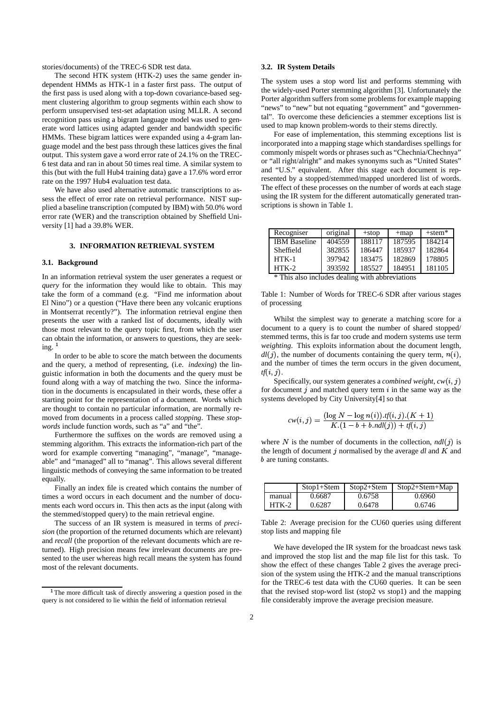stories/documents) of the TREC-6 SDR test data.

The second HTK system (HTK-2) uses the same gender independent HMMs as HTK-1 in a faster first pass. The output of the first pass is used along with a top-down covariance-based segment clustering algorithm to group segments within each show to perform unsupervised test-set adaptation using MLLR. A second recognition pass using a bigram language model was used to generate word lattices using adapted gender and bandwidth specific HMMs. These bigram lattices were expanded using a 4-gram language model and the best pass through these lattices gives the final output. This system gave a word error rate of 24.1% on the TREC-6 test data and ran in about 50 times real time. A similar system to this (but with the full Hub4 training data) gave a 17.6% word error rate on the 1997 Hub4 evaluation test data.

We have also used alternative automatic transcriptions to assess the effect of error rate on retrieval performance. NIST supplied a baseline transcription (computed by IBM) with 50.0% word error rate (WER) and the transcription obtained by Sheffield University [1] had a 39.8% WER.

#### **3. INFORMATION RETRIEVAL SYSTEM**

#### **3.1. Background**

In an information retrieval system the user generates a request or *query* for the information they would like to obtain. This may take the form of a command (e.g. "Find me information about El Nino") or a question ("Have there been any volcanic eruptions in Montserrat recently?"). The information retrieval engine then presents the user with a ranked list of documents, ideally with those most relevant to the query topic first, from which the user can obtain the information, or answers to questions, they are seeking.<sup>1</sup>

In order to be able to score the match between the documents and the query, a method of representing, (i.e. *indexing*) the linguistic information in both the documents and the query must be found along with a way of matching the two. Since the information in the documents is encapsulated in their words, these offer a starting point for the representation of a document. Words which are thought to contain no particular information, are normally removed from documents in a process called *stopping*. These *stopwords* include function words, such as "a" and "the".

Furthermore the suffixes on the words are removed using a stemming algorithm. This extracts the information-rich part of the word for example converting "managing", "manage", "manageable" and "managed" all to "manag". This allows several different linguistic methods of conveying the same information to be treated equally.

Finally an index file is created which contains the number of times a word occurs in each document and the number of documents each word occurs in. This then acts as the input (along with the stemmed/stopped query) to the main retrieval engine.

The success of an IR system is measured in terms of *precision* (the proportion of the returned documents which are relevant) and *recall* (the proportion of the relevant documents which are returned). High precision means few irrelevant documents are presented to the user whereas high recall means the system has found most of the relevant documents.

#### **3.2. IR System Details**

The system uses a stop word list and performs stemming with the widely-used Porter stemming algorithm [3]. Unfortunately the Porter algorithm suffers from some problems for example mapping "news" to "new" but not equating "government" and "governmental". To overcome these deficiencies a stemmer exceptions list is used to map known problem-words to their stems directly.

For ease of implementation, this stemming exceptions list is incorporated into a mapping stage which standardises spellings for commonly mispelt words or phrases such as "Chechnia/Chechnya" or "all right/alright" and makes synonyms such as "United States" and "U.S." equivalent. After this stage each document is represented by a stopped/stemmed/mapped unordered list of words. The effect of these processes on the number of words at each stage using the IR system for the different automatically generated transcriptions is shown in Table 1.

| Recogniser          | original | $+stop$ | $+map$ | $+$ stem $*$ |
|---------------------|----------|---------|--------|--------------|
| <b>IBM</b> Baseline | 404559   | 188117  | 187595 | 184214       |
| Sheffield           | 382855   | 186447  | 185937 | 182864       |
| $HTK-1$             | 397942   | 183475  | 182869 | 178805       |
| $HTK-2$             | 393592   | 185527  | 184951 | 181105       |

\* This also includes dealing with abbreviations

Table 1: Number of Words for TREC-6 SDR after various stages of processing

Whilst the simplest way to generate a matching score for a document to a query is to count the number of shared stopped/ stemmed terms, this is far too crude and modern systems use term *weighting*. This exploits information about the document length,  $dl(j)$ , the number of documents containing the query term,  $n(i)$ , and the number of times the term occurs in the given document,  $\mathit{tf}(i,j)$ .

Specifically, our system generates a *combined weight*,  $cw(i, j)$ for document  $j$  and matched query term  $i$  in the same way as the systems developed by City University[4] so that

$$
cw(i,j) = \frac{(\log N - \log n(i)).tf(i,j).(K+1)}{K.(1-b + b.ndl(j)) + tf(i,j)}
$$

where N is the number of documents in the collection,  $ndl(j)$  is the length of document  $j$  normalised by the average  $dl$  and  $K$  and **b** are tuning constants.

|         | $Stop1+Stem$ | $Stop2 + Stem$ | $Stop2+Stem+Map$ |
|---------|--------------|----------------|------------------|
| manual  | 0.6687       | 0.6758         | 0.6960           |
| $HTK-2$ | 0.6287       | 0.6478         | 0.6746           |

Table 2: Average precision for the CU60 queries using different stop lists and mapping file

We have developed the IR system for the broadcast news task and improved the stop list and the map file list for this task. To show the effect of these changes Table 2 gives the average precision of the system using the HTK-2 and the manual transcriptions for the TREC-6 test data with the CU60 queries. It can be seen that the revised stop-word list (stop2 vs stop1) and the mapping file considerably improve the average precision measure.

<sup>&</sup>lt;sup>1</sup>The more difficult task of directly answering a question posed in the query is not considered to lie within the field of information retrieval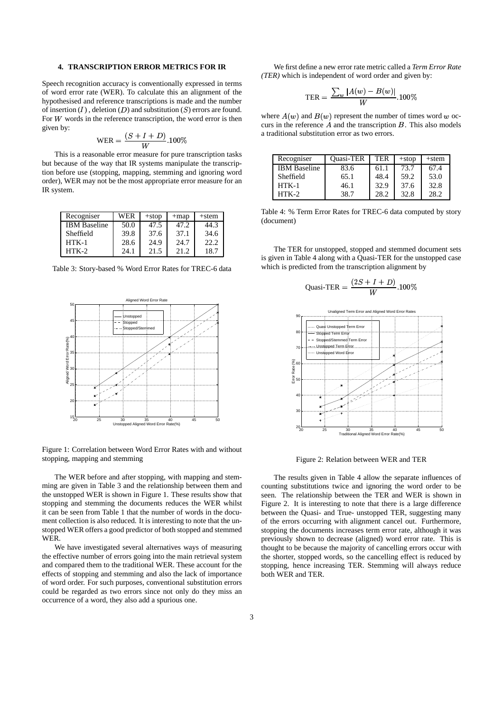### **4. TRANSCRIPTION ERROR METRICS FOR IR**

Speech recognition accuracy is conventionally expressed in terms of word error rate (WER). To calculate this an alignment of the hypothesised and reference transcriptions is made and the number of insertion  $(I)$ , deletion  $(D)$  and substitution  $(S)$  errors are found. For  $W$  words in the reference transcription, the word error is then given by:

$$
\text{WER} = \frac{(S+I+D)}{W} .100\%
$$

This is a reasonable error measure for pure transcription tasks but because of the way that IR systems manipulate the transcription before use (stopping, mapping, stemming and ignoring word order), WER may not be the most appropriate error measure for an IR system.

| Recogniser          | WER  | $+stop$ | $+map$ | $+$ stem |
|---------------------|------|---------|--------|----------|
| <b>IBM</b> Baseline | 50.0 | 47.5    | 47.2   | 44.3     |
| Sheffield           | 39.8 | 37.6    | 37.1   | 34.6     |
| $HTK-1$             | 28.6 | 24.9    | 24.7   | 22.2     |
| $HTK-2$             | 24.1 | 21.5    | 21.2   | 18.7     |

Table 3: Story-based % Word Error Rates for TREC-6 data



Figure 1: Correlation between Word Error Rates with and without stopping, mapping and stemming

The WER before and after stopping, with mapping and stemming are given in Table 3 and the relationship between them and the unstopped WER is shown in Figure 1. These results show that stopping and stemming the documents reduces the WER whilst it can be seen from Table 1 that the number of words in the document collection is also reduced. It is interesting to note that the unstopped WER offers a good predictor of both stopped and stemmed WER.

We have investigated several alternatives ways of measuring the effective number of errors going into the main retrieval system and compared them to the traditional WER. These account for the effects of stopping and stemming and also the lack of importance of word order. For such purposes, conventional substitution errors could be regarded as two errors since not only do they miss an occurrence of a word, they also add a spurious one.

We first define a new error rate metric called a *Term Error Rate (TER)* which is independent of word order and given by:

$$
\text{TER} = \frac{\sum_{w} |A(w) - B(w)|}{W}.100\%
$$

where  $A(w)$  and  $B(w)$  represent the number of times word w occurs in the reference  $A$  and the transcription  $B$ . This also models a traditional substitution error as two errors.

| Recogniser          | <b>Ouasi-TER</b> | TER  | $+stop$ | $+$ stem |
|---------------------|------------------|------|---------|----------|
| <b>IBM</b> Baseline | 83.6             | 61.1 | 73.7    | 67.4     |
| Sheffield           | 65.1             | 48.4 | 59.2    | 53.0     |
| $HTK-1$             | 46.1             | 32.9 | 37.6    | 32.8     |
| $HTK-2$             | 38.7             | 28.2 | 32.8    | 28.2     |

Table 4: % Term Error Rates for TREC-6 data computed by story (document)

The TER for unstopped, stopped and stemmed document sets is given in Table 4 along with a Quasi-TER for the unstopped case which is predicted from the transcription alignment by

$$
\text{Quasi-TER} = \frac{(2S+I+D)}{W}.100\%
$$



Figure 2: Relation between WER and TER

The results given in Table 4 allow the separate influences of counting substitutions twice and ignoring the word order to be seen. The relationship between the TER and WER is shown in Figure 2. It is interesting to note that there is a large difference between the Quasi- and True- unstopped TER, suggesting many of the errors occurring with alignment cancel out. Furthermore, stopping the documents increases term error rate, although it was previously shown to decrease (aligned) word error rate. This is thought to be because the majority of cancelling errors occur with the shorter, stopped words, so the cancelling effect is reduced by stopping, hence increasing TER. Stemming will always reduce both WER and TER.